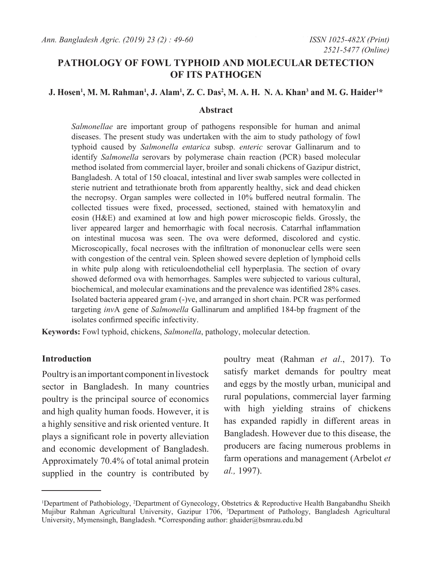# **PATHOLOGY OF FOWL TYPHOID AND MOLECULAR DETECTION OF ITS PATHOGEN**

### **J. Hosen1 , M. M. Rahman1 , J. Alam1 , Z. C. Das2 , M. A. H. N. A. Khan3 and M. G. Haider1 \***

### **Abstract**

*Salmonellae* are important group of pathogens responsible for human and animal diseases. The present study was undertaken with the aim to study pathology of fowl typhoid caused by *Salmonella entarica* subsp. *enteric* serovar Gallinarum and to identify *Salmonella* serovars by polymerase chain reaction (PCR) based molecular method isolated from commercial layer, broiler and sonali chickens of Gazipur district, Bangladesh. A total of 150 cloacal, intestinal and liver swab samples were collected in sterie nutrient and tetrathionate broth from apparently healthy, sick and dead chicken the necropsy. Organ samples were collected in 10% buffered neutral formalin. The collected tissues were fixed, processed, sectioned, stained with hematoxylin and eosin (H&E) and examined at low and high power microscopic fields. Grossly, the liver appeared larger and hemorrhagic with focal necrosis. Catarrhal inflammation on intestinal mucosa was seen. The ova were deformed, discolored and cystic. Microscopically, focal necroses with the infiltration of mononuclear cells were seen with congestion of the central vein. Spleen showed severe depletion of lymphoid cells in white pulp along with reticuloendothelial cell hyperplasia. The section of ovary showed deformed ova with hemorrhages. Samples were subjected to various cultural, biochemical, and molecular examinations and the prevalence was identified 28% cases. Isolated bacteria appeared gram (-)ve, and arranged in short chain. PCR was performed targeting *inv*A gene of *Salmonella* Gallinarum and amplified 184-bp fragment of the isolates confirmed specific infectivity.

**Keywords:** Fowl typhoid, chickens, *Salmonella*, pathology, molecular detection.

### **Introduction**

Poultry is an important component in livestock sector in Bangladesh. In many countries poultry is the principal source of economics and high quality human foods. However, it is a highly sensitive and risk oriented venture. It plays a significant role in poverty alleviation and economic development of Bangladesh. Approximately 70.4% of total animal protein supplied in the country is contributed by poultry meat (Rahman *et al*., 2017). To satisfy market demands for poultry meat and eggs by the mostly urban, municipal and rural populations, commercial layer farming with high yielding strains of chickens has expanded rapidly in different areas in Bangladesh. However due to this disease, the producers are facing numerous problems in farm operations and management (Arbelot *et al.,* 1997).

<sup>1</sup> Department of Pathobiology, <sup>2</sup> Department of Gynecology, Obstetrics & Reproductive Health Bangabandhu Sheikh Mujibur Rahman Agricultural University, Gazipur 1706, 3 Department of Pathology, Bangladesh Agricultural University, Mymensingh, Bangladesh. \*Corresponding author: ghaider@bsmrau.edu.bd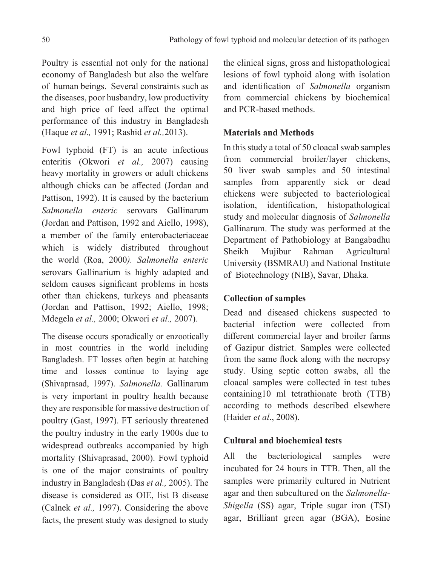Poultry is essential not only for the national economy of Bangladesh but also the welfare of human beings. Several constraints such as the diseases, poor husbandry, low productivity and high price of feed affect the optimal performance of this industry in Bangladesh (Haque *et al.,* 1991; Rashid *et al.,*2013).

Fowl typhoid (FT) is an acute infectious enteritis (Okwori *et al.,* 2007) causing heavy mortality in growers or adult chickens although chicks can be affected (Jordan and Pattison, 1992). It is caused by the bacterium *Salmonella enteric* serovars Gallinarum (Jordan and Pattison, 1992 and Aiello, 1998), a member of the family enterobacteriaceae which is widely distributed throughout the world (Roa, 2000*). Salmonella enteric*  serovars Gallinarium is highly adapted and seldom causes significant problems in hosts other than chickens, turkeys and pheasants (Jordan and Pattison, 1992; Aiello, 1998; Mdegela *et al.,* 2000; Okwori *et al.,* 2007).

The disease occurs sporadically or enzootically in most countries in the world including Bangladesh. FT losses often begin at hatching time and losses continue to laying age (Shivaprasad, 1997). *Salmonella.* Gallinarum is very important in poultry health because they are responsible for massive destruction of poultry (Gast, 1997). FT seriously threatened the poultry industry in the early 1900s due to widespread outbreaks accompanied by high mortality (Shivaprasad, 2000). Fowl typhoid is one of the major constraints of poultry industry in Bangladesh (Das *et al.,* 2005). The disease is considered as OIE, list B disease (Calnek *et al.,* 1997). Considering the above facts, the present study was designed to study the clinical signs, gross and histopathological lesions of fowl typhoid along with isolation and identification of *Salmonella* organism from commercial chickens by biochemical and PCR-based methods.

### **Materials and Methods**

In this study a total of 50 cloacal swab samples from commercial broiler/layer chickens, 50 liver swab samples and 50 intestinal samples from apparently sick or dead chickens were subjected to bacteriological isolation, identification, histopathological study and molecular diagnosis of *Salmonella*  Gallinarum. The study was performed at the Department of Pathobiology at Bangabadhu Sheikh Mujibur Rahman Agricultural University (BSMRAU) and National Institute of Biotechnology (NIB), Savar, Dhaka.

### **Collection of samples**

Dead and diseased chickens suspected to bacterial infection were collected from different commercial layer and broiler farms of Gazipur district. Samples were collected from the same flock along with the necropsy study. Using septic cotton swabs, all the cloacal samples were collected in test tubes containing10 ml tetrathionate broth (TTB) according to methods described elsewhere (Haider *et al*., 2008).

## **Cultural and biochemical tests**

All the bacteriological samples were incubated for 24 hours in TTB. Then, all the samples were primarily cultured in Nutrient agar and then subcultured on the *Salmonella*-*Shigella* (SS) agar, Triple sugar iron (TSI) agar, Brilliant green agar (BGA), Eosine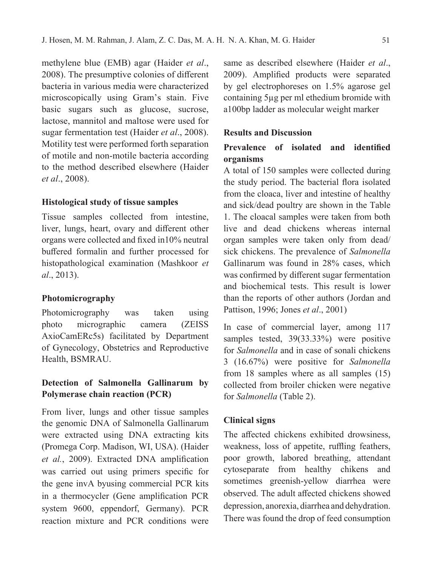methylene blue (EMB) agar (Haider *et al*., 2008). The presumptive colonies of different bacteria in various media were characterized microscopically using Gram's stain. Five basic sugars such as glucose, sucrose, lactose, mannitol and maltose were used for sugar fermentation test (Haider *et al*., 2008). Motility test were performed forth separation of motile and non-motile bacteria according to the method described elsewhere (Haider *et al*., 2008).

### **Histological study of tissue samples**

Tissue samples collected from intestine, liver, lungs, heart, ovary and different other organs were collected and fixed in10% neutral buffered formalin and further processed for histopathological examination (Mashkoor *et al*., 2013).

### **Photomicrography**

Photomicrography was taken using photo micrographic camera (ZEISS AxioCamERc5s) facilitated by Department of Gynecology, Obstetrics and Reproductive Health, BSMRAU.

## **Detection of Salmonella Gallinarum by Polymerase chain reaction (PCR)**

From liver, lungs and other tissue samples the genomic DNA of Salmonella Gallinarum were extracted using DNA extracting kits (Promega Corp. Madison, WI, USA). (Haider *et al.*, 2009). Extracted DNA amplification was carried out using primers specific for the gene invA byusing commercial PCR kits in a thermocycler (Gene amplification PCR system 9600, eppendorf, Germany). PCR reaction mixture and PCR conditions were

same as described elsewhere (Haider *et al*., 2009). Amplified products were separated by gel electrophoreses on 1.5% agarose gel containing 5µg per ml ethedium bromide with a100bp ladder as molecular weight marker

### **Results and Discussion**

# **Prevalence of isolated and identified organisms**

A total of 150 samples were collected during the study period. The bacterial flora isolated from the cloaca, liver and intestine of healthy and sick/dead poultry are shown in the Table 1. The cloacal samples were taken from both live and dead chickens whereas internal organ samples were taken only from dead/ sick chickens. The prevalence of *Salmonella*  Gallinarum was found in 28% cases, which was confirmed by different sugar fermentation and biochemical tests. This result is lower than the reports of other authors (Jordan and Pattison, 1996; Jones *et al*., 2001)

In case of commercial layer, among 117 samples tested, 39(33.33%) were positive for *Salmonella* and in case of sonali chickens 3 (16.67%) were positive for *Salmonella*  from 18 samples where as all samples (15) collected from broiler chicken were negative for *Salmonella* (Table 2).

### **Clinical signs**

The affected chickens exhibited drowsiness, weakness, loss of appetite, ruffling feathers, poor growth, labored breathing, attendant cytoseparate from healthy chikens and sometimes greenish-yellow diarrhea were observed. The adult affected chickens showed depression, anorexia, diarrhea and dehydration. There was found the drop of feed consumption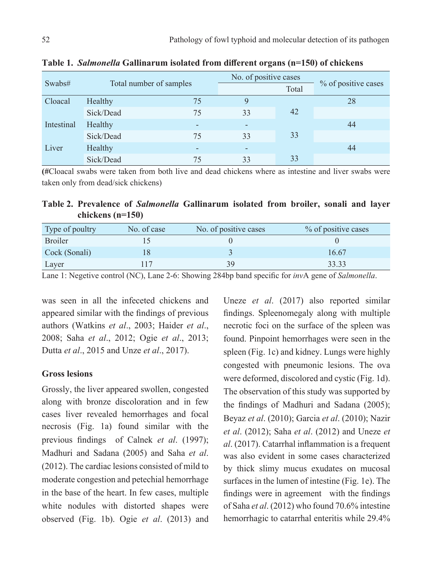| Swabs#     | Total number of samples |                          | No. of positive cases |       |                     |
|------------|-------------------------|--------------------------|-----------------------|-------|---------------------|
|            |                         |                          |                       | Total | % of positive cases |
| Cloacal    | Healthy                 | 75                       | 9                     |       | 28                  |
|            | Sick/Dead               | 75                       | 33                    | 42    |                     |
| Intestinal | Healthy                 | ۰                        |                       |       | 44                  |
|            | Sick/Dead               | 75                       | 33                    | 33    |                     |
| Liver      | Healthy                 | $\overline{\phantom{0}}$ |                       |       | 44                  |
|            | Sick/Dead               | 75                       | 33                    | 33    |                     |

**Table 1.** *Salmonella* **Gallinarum isolated from different organs (n=150) of chickens**

**(#**Cloacal swabs were taken from both live and dead chickens where as intestine and liver swabs were taken only from dead/sick chickens)

**Table 2. Prevalence of** *Salmonella* **Gallinarum isolated from broiler, sonali and layer chickens (n=150)**

| Type of poultry | No. of case | No. of positive cases | % of positive cases |
|-----------------|-------------|-----------------------|---------------------|
| <b>Broiler</b>  |             |                       |                     |
| Cock (Sonali)   |             |                       | 16.67               |
| Layer           |             | 3 G                   | 33.33               |

Lane 1: Negetive control (NC), Lane 2-6: Showing 284bp band specific for *inv*A gene of *Salmonella*.

was seen in all the infeceted chickens and appeared similar with the findings of previous authors (Watkins *et al*., 2003; Haider *et al*., 2008; Saha *et al*., 2012; Ogie *et al*., 2013; Dutta *et al*., 2015 and Unze *et al*., 2017).

#### **Gross lesions**

Grossly, the liver appeared swollen, congested along with bronze discoloration and in few cases liver revealed hemorrhages and focal necrosis (Fig. 1a) found similar with the previous findings of Calnek *et al*. (1997); Madhuri and Sadana (2005) and Saha *et al*. (2012). The cardiac lesions consisted of mild to moderate congestion and petechial hemorrhage in the base of the heart. In few cases, multiple white nodules with distorted shapes were observed (Fig. 1b). Ogie *et al*. (2013) and

Uneze *et al*. (2017) also reported similar findings. Spleenomegaly along with multiple necrotic foci on the surface of the spleen was found. Pinpoint hemorrhages were seen in the spleen (Fig. 1c) and kidney. Lungs were highly congested with pneumonic lesions. The ova were deformed, discolored and cystic (Fig. 1d). The observation of this study was supported by the findings of Madhuri and Sadana (2005); Beyaz *et al*. (2010); Garcia *et al*. (2010); Nazir *et al*. (2012); Saha *et al*. (2012) and Uneze *et al*. (2017). Catarrhal inflammation is a frequent was also evident in some cases characterized by thick slimy mucus exudates on mucosal surfaces in the lumen of intestine (Fig. 1e). The findings were in agreement with the findings of Saha *et al*. (2012) who found 70.6% intestine hemorrhagic to catarrhal enteritis while 29.4%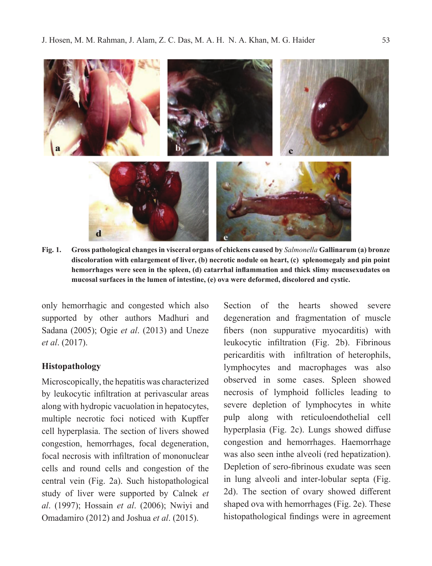

**Fig. 1. Gross pathological changes in visceral organs of chickens caused by** *Salmonella* **Gallinarum (a) bronze discoloration with enlargement of liver, (b) necrotic nodule on heart, (c) splenomegaly and pin point hemorrhages were seen in the spleen, (d) catarrhal inflammation and thick slimy mucusexudates on mucosal surfaces in the lumen of intestine, (e) ova were deformed, discolored and cystic.**

only hemorrhagic and congested which also supported by other authors Madhuri and Sadana (2005); Ogie *et al*. (2013) and Uneze *et al*. (2017).

#### **Histopathology**

Microscopically, the hepatitis was characterized by leukocytic infiltration at perivascular areas along with hydropic vacuolation in hepatocytes, multiple necrotic foci noticed with Kupffer cell hyperplasia. The section of livers showed congestion, hemorrhages, focal degeneration, focal necrosis with infiltration of mononuclear cells and round cells and congestion of the central vein (Fig. 2a). Such histopathological study of liver were supported by Calnek *et al*. (1997); Hossain *et al*. (2006); Nwiyi and Omadamiro (2012) and Joshua *et al*. (2015).

Section of the hearts showed severe degeneration and fragmentation of muscle fibers (non suppurative myocarditis) with leukocytic infiltration (Fig. 2b). Fibrinous pericarditis with infiltration of heterophils, lymphocytes and macrophages was also observed in some cases. Spleen showed necrosis of lymphoid follicles leading to severe depletion of lymphocytes in white pulp along with reticuloendothelial cell hyperplasia (Fig. 2c). Lungs showed diffuse congestion and hemorrhages. Haemorrhage was also seen inthe alveoli (red hepatization). Depletion of sero-fibrinous exudate was seen in lung alveoli and inter-lobular septa (Fig. 2d). The section of ovary showed different shaped ova with hemorrhages (Fig. 2e). These histopathological findings were in agreement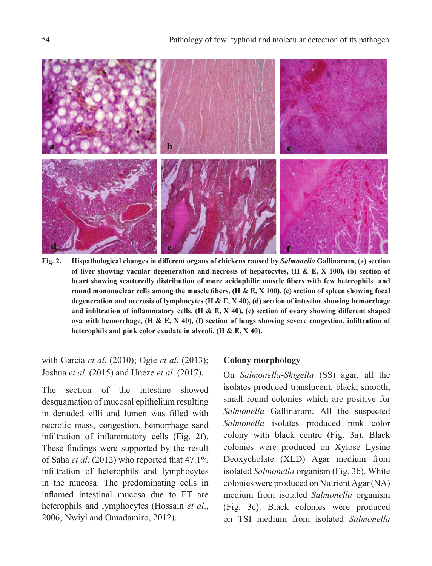

**Fig. 2. Hispathological changes in different organs of chickens caused by** *Salmonella* **Gallinarum, (a) section of liver showing vacular degeneration and necrosis of hepatocytes, (H & E, X 100), (b) section of heart showing scatteredly distribution of more acidophilic muscle fibers with few heterophils and round mononuclear cells among the muscle fibers, (H & E, X 100), (c) section of spleen showing focal degeneration and necrosis of lymphocytes (H & E, X 40), (d) section of intestine showing hemorrhage and infiltration of inflammatory cells, (H & E, X 40), (e) section of ovary showing different shaped ova with hemorrhage, (H & E, X 40), (f) section of lungs showing severe congestion, infiltration of heterophils and pink color exudate in alveoli, (H & E, X 40).**

with Garcia *et al*. (2010); Ogie *et al*. (2013); Joshua *et al*. (2015) and Uneze *et al*. (2017).

The section of the intestine showed desquamation of mucosal epithelium resulting in denuded villi and lumen was filled with necrotic mass, congestion, hemorrhage sand infiltration of inflammatory cells (Fig. 2f). These findings were supported by the result of Saha *et al*. (2012) who reported that 47.1% infiltration of heterophils and lymphocytes in the mucosa. The predominating cells in inflamed intestinal mucosa due to FT are heterophils and lymphocytes (Hossain *et al*., 2006; Nwiyi and Omadamiro, 2012).

#### **Colony morphology**

On *Salmonella-Shigella* (SS) agar, all the isolates produced translucent, black, smooth, small round colonies which are positive for *Salmonella* Gallinarum. All the suspected *Salmonella* isolates produced pink color colony with black centre (Fig. 3a). Black colonies were produced on Xylose Lysine Deoxycholate (XLD) Agar medium from isolated *Salmonella* organism (Fig. 3b). White colonies were produced on Nutrient Agar (NA) medium from isolated *Salmonella* organism (Fig. 3c). Black colonies were produced on TSI medium from isolated *Salmonella*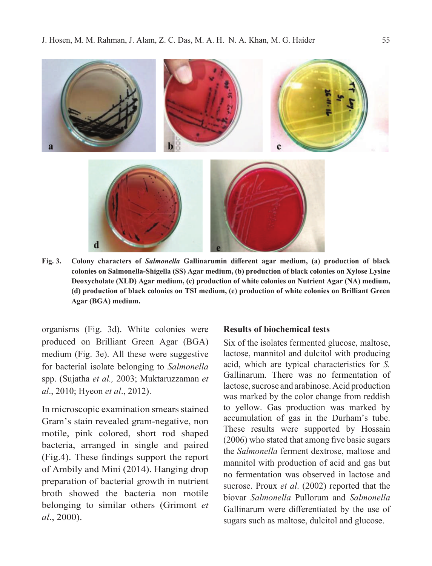

**Fig. 3. Colony characters of** *Salmonella* **Gallinarumin different agar medium, (a) production of black colonies on Salmonella-Shigella (SS) Agar medium, (b) production of black colonies on Xylose Lysine Deoxycholate (XLD) Agar medium, (c) production of white colonies on Nutrient Agar (NA) medium, (d) production of black colonies on TSI medium, (e) production of white colonies on Brilliant Green Agar (BGA) medium.** 

organisms (Fig. 3d). White colonies were produced on Brilliant Green Agar (BGA) medium (Fig. 3e). All these were suggestive for bacterial isolate belonging to *Salmonella* spp. (Sujatha *et al.,* 2003; Muktaruzzaman *et al*., 2010; Hyeon *et al*., 2012).

In microscopic examination smears stained Gram's stain revealed gram-negative, non motile, pink colored, short rod shaped bacteria, arranged in single and paired (Fig.4). These findings support the report of Ambily and Mini (2014). Hanging drop preparation of bacterial growth in nutrient broth showed the bacteria non motile belonging to similar others (Grimont *et al*., 2000).

#### **Results of biochemical tests**

Six of the isolates fermented glucose, maltose, lactose, mannitol and dulcitol with producing acid, which are typical characteristics for *S.*  Gallinarum. There was no fermentation of lactose, sucrose and arabinose. Acid production was marked by the color change from reddish to yellow. Gas production was marked by accumulation of gas in the Durham's tube. These results were supported by Hossain (2006) who stated that among five basic sugars the *Salmonella* ferment dextrose, maltose and mannitol with production of acid and gas but no fermentation was observed in lactose and sucrose. Proux *et al*. (2002) reported that the biovar *Salmonella* Pullorum and *Salmonella*  Gallinarum were differentiated by the use of sugars such as maltose, dulcitol and glucose.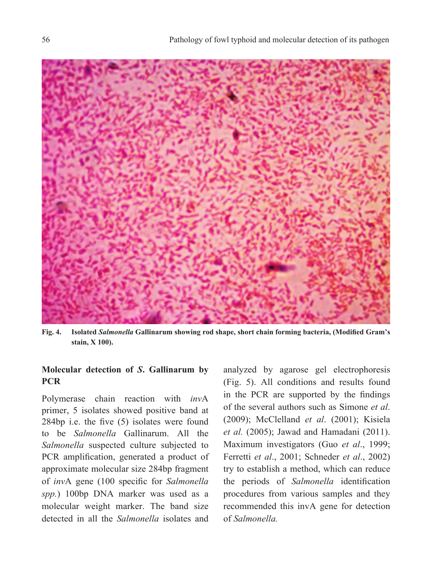

**Fig. 4. Isolated** *Salmonella* **Gallinarum showing rod shape, short chain forming bacteria, (Modified Gram's stain, X 100).** 

# **Molecular detection of** *S***. Gallinarum by PCR**

Polymerase chain reaction with *inv*A primer, 5 isolates showed positive band at 284bp i.e. the five (5) isolates were found to be *Salmonella* Gallinarum. All the *Salmonella* suspected culture subjected to PCR amplification, generated a product of approximate molecular size 284bp fragment of *inv*A gene (100 specific for *Salmonella spp.*) 100bp DNA marker was used as a molecular weight marker. The band size detected in all the *Salmonella* isolates and

analyzed by agarose gel electrophoresis (Fig. 5). All conditions and results found in the PCR are supported by the findings of the several authors such as Simone *et al*. (2009); McClelland *et al*. (2001); Kisiela *et al.* (2005); Jawad and Hamadani (2011). Maximum investigators (Guo *et al*., 1999; Ferretti *et al*., 2001; Schneder *et al*., 2002) try to establish a method, which can reduce the periods of *Salmonella* identification procedures from various samples and they recommended this invA gene for detection of *Salmonella.*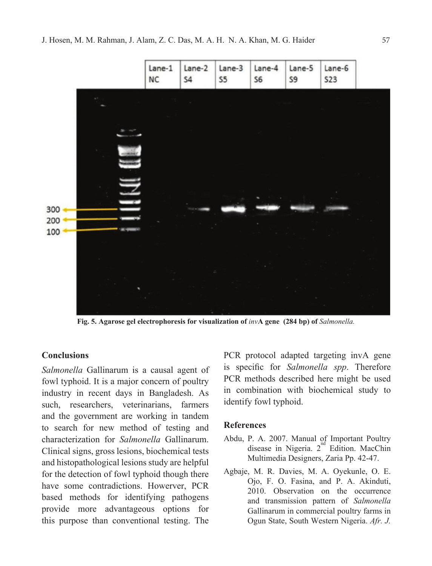

**Fig. 5. Agarose gel electrophoresis for visualization of** *inv***A gene (284 bp) of** *Salmonella.*

#### **Conclusions**

*Salmonella* Gallinarum is a causal agent of fowl typhoid. It is a major concern of poultry industry in recent days in Bangladesh. As such, researchers, veterinarians, farmers and the government are working in tandem to search for new method of testing and characterization for *Salmonella* Gallinarum. Clinical signs, gross lesions, biochemical tests and histopathological lesions study are helpful for the detection of fowl typhoid though there have some contradictions. Howerver, PCR based methods for identifying pathogens provide more advantageous options for this purpose than conventional testing. The

PCR protocol adapted targeting invA gene is specific for *Salmonella spp*. Therefore PCR methods described here might be used in combination with biochemical study to identify fowl typhoid.

#### **References**

- Abdu, P. A. 2007. Manual of Important Poultry disease in Nigeria.  $2^{nd}$  Edition. MacChin Multimedia Designers, Zaria Pp. 42-47.
- Agbaje, M. R. Davies, M. A. Oyekunle, O. E. Ojo, F. O. Fasina, and P. A. Akinduti, 2010. Observation on the occurrence and transmission pattern of *Salmonella*  Gallinarum in commercial poultry farms in Ogun State, South Western Nigeria. *Afr. J.*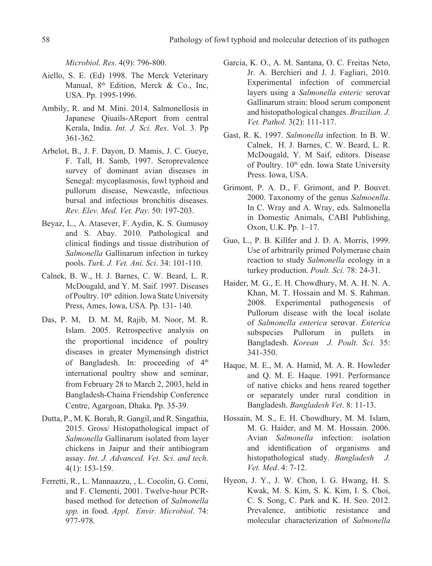*Microbiol. Res*. 4(9): 796-800.

- Aiello, S. E. (Ed) 1998. The Merck Veterinary Manual,  $8<sup>th</sup>$  Edition, Merck & Co., Inc, USA. Pp. 1995-1996.
- Ambily, R. and M. Mini. 2014. Salmonellosis in Japanese Qiuails-AReport from central Kerala, India. *Int. J. Sci. Res*. Vol. 3. Pp 361-362.
- Arbelot, B., J. F. Dayon, D. Mamis, J. C. Gueye, F. Tall, H. Samb, 1997. Seroprevalence survey of dominant avian diseases in Senegal: mycoplasmosis, fowl typhoid and pullorum disease, Newcastle, infectious bursal and infectious bronchitis diseases. *Rev. Elev. Med. Vet. Pay*. 50: 197-203.
- Beyaz, L., A. Atasever, F. Aydin, K. S. Gumusoy and S. Abay. 2010. Pathological and clinical findings and tissue distribution of *Salmonella* Gallinarum infection in turkey pools. *Turk. J. Vet. Ani. Sci*. 34: 101-110.
- Calnek, B. W., H. J. Barnes, C. W. Beard, L. R. McDougald, and Y. M. Saif. 1997. Diseases of Poultry. 10<sup>th</sup> edition. Iowa State University Press, Ames, Iowa, USA. Pp. 131- 140.
- Das, P. M, D. M. M, Rajib, M. Noor, M. R. Islam. 2005. Retrospective analysis on the proportional incidence of poultry diseases in greater Mymensingh district of Bangladesh. In: proceeding of 4<sup>th</sup> international poultry show and seminar, from February 28 to March 2, 2003, held in Bangladesh-Chaina Friendship Conference Centre, Agargoan, Dhaka. Pp. 35-39.
- Dutta, P., M. K. Borah, R. Gangil, and R. Singathia, 2015. Gross/ Histopathological impact of *Salmonella* Gallinarum isolated from layer chickens in Jaipur and their antibiogram assay. *Int. J. Advanced. Vet. Sci. and tech*. 4(1): 153-159.
- Ferretti, R., L. Mannaazzu, , L. Cocolin, G. Comi, and F. Clementi, 2001. Twelve-hour PCRbased method for detection of *Salmonella spp.* in food. *Appl. Envir. Microbiol*. 74: 977-978.
- Garcia, K. O., A. M. Santana, O. C. Freitas Neto, Jr. A. Berchieri and J. J. Fagliari, 2010. Experimental infection of commercial layers using a *Salmonella enteric* serovar Gallinarum strain: blood serum component and histopathological changes. *Brazilian. J. Vet. Pathol.* 3(2): 111-117.
- Gast, R. K. 1997. *Salmonella* infection. In B. W. Calnek, H. J. Barnes, C. W. Beard, L. R. McDougald, Y. M Saif, editors. Disease of Poultry. 10<sup>th</sup> edn. Iowa State University Press. Iowa, USA.
- Grimont, P. A. D., F. Grimont, and P. Bouvet. 2000. Taxonomy of the genus *Salmoenlla*. In C. Wray and A. Wray, eds. Salmonella in Domestic Animals, CABI Publishing, Oxon, U.K. Pp. 1–17.
- Guo, L., P. B. Killfer and J. D. A. Morris, 1999. Use of arbitrarily primed Polymerase chain reaction to study *Salmonella* ecology in a turkey production. *Poult. Sci.* 78: 24-31.
- Haider, M. G., E. H. Chowdhury, M. A. H. N. A. Khan, M. T. Hossain and M. S. Rahman. 2008. Experimental pathogenesis of Pullorum disease with the local isolate of *Salmonella enterica* serovar. *Enterica*  subspecies Pullorum in pullets in Bangladesh. *Korean J. Poult. Sci.* 35: 341-350.
- Haque, M. E., M. A. Hamid, M. A. R. Howleder and Q. M. E. Haque. 1991. Performance of native chicks and hens reared together or separately under rural condition in Bangladesh. *Bangladesh Vet*. 8: 11-13.
- Hossain, M. S., E. H. Chowdhury, M. M. Islam, M. G. Haider, and M. M. Hossain. 2006. Avian *Salmonella* infection: isolation and identification of organisms and histopathological study. *Bangladesh J. Vet. Med*. 4: 7-12.
- Hyeon, J. Y., J. W. Chon, I. G. Hwang, H. S. Kwak, M. S. Kim, S. K. Kim, I. S. Choi, C. S. Song, C. Park and K. H. Seo. 2012. Prevalence, antibiotic resistance and molecular characterization of *Salmonella*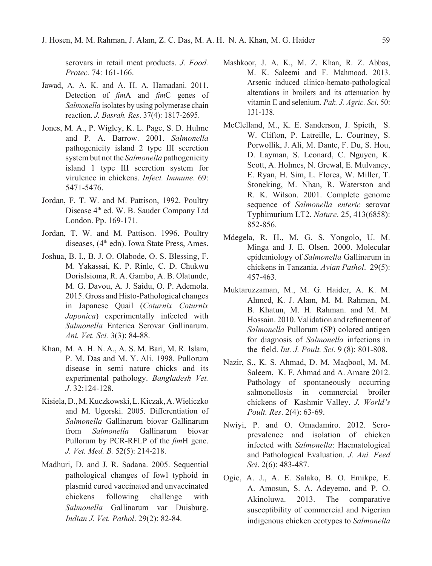serovars in retail meat products. *J. Food. Protec.* 74: 161-166.

- Jawad, A. A. K. and A. H. A. Hamadani. 2011. Detection of *fim*A and *fim*C genes of *Salmonella* isolates by using polymerase chain reaction. *J. Basrah. Res*. 37(4): 1817-2695.
- Jones, M. A., P. Wigley, K. L. Page, S. D. Hulme and P. A. Barrow. 2001. *Salmonella*  pathogenicity island 2 type III secretion system but not the *Salmonella* pathogenicity island 1 type III secretion system for virulence in chickens. *Infect. Immune*. 69: 5471-5476.
- Jordan, F. T. W. and M. Pattison, 1992. Poultry Disease 4<sup>th</sup> ed. W. B. Sauder Company Ltd London. Pp. 169-171.
- Jordan, T. W. and M. Pattison. 1996. Poultry diseases, (4<sup>th</sup> edn). Iowa State Press, Ames.
- Joshua, B. I., B. J. O. Olabode, O. S. Blessing, F. M. Yakassai, K. P. Rinle, C. D. Chukwu DorisIsioma, R. A. Gambo, A. B. Olatunde, M. G. Davou, A. J. Saidu, O. P. Ademola. 2015. Gross and Histo-Pathological changes in Japanese Quail (*Coturnix Coturnix Japonica*) experimentally infected with *Salmonella* Enterica Serovar Gallinarum. *Ani. Vet. Sci.* 3(3): 84-88.
- Khan, M. A. H. N. A., A. S. M. Bari, M. R. Islam, P. M. Das and M. Y. Ali. 1998. Pullorum disease in semi nature chicks and its experimental pathology. *Bangladesh Vet. J*. 32:124-128.
- Kisiela, D., M. Kuczkowski, L. Kiczak, A. Wieliczko and M. Ugorski. 2005. Differentiation of *Salmonella* Gallinarum biovar Gallinarum from *Salmonella* Gallinarum biovar Pullorum by PCR-RFLP of the *fim*H gene. *J. Vet. Med. B.* 52(5): 214-218.
- Madhuri, D. and J. R. Sadana. 2005. Sequential pathological changes of fowl typhoid in plasmid cured vaccinated and unvaccinated chickens following challenge with *Salmonella* Gallinarum var Duisburg. *Indian J. Vet. Pathol*. 29(2): 82-84.
- Mashkoor, J. A. K., M. Z. Khan, R. Z. Abbas, M. K. Saleemi and F. Mahmood. 2013. Arsenic induced clinico-hemato-pathological alterations in broilers and its attenuation by vitamin E and selenium. *Pak. J. Agric. Sci*. 50: 131-138.
- McClelland, M., K. E. Sanderson, J. Spieth, S. W. Clifton, P. Latreille, L. Courtney, S. Porwollik, J. Ali, M. Dante, F. Du, S. Hou, D. Layman, S. Leonard, C. Nguyen, K. Scott, A. Holmes, N. Grewal, E. Mulvaney, E. Ryan, H. Sim, L. Florea, W. Miller, T. Stoneking, M. Nhan, R. Waterston and R. K. Wilson. 2001. Complete genome sequence of *Salmonella enteric* serovar Typhimurium LT2. *Nature*. 25, 413(6858): 852-856.
- Mdegela, R. H., M. G. S. Yongolo, U. M. Minga and J. E. Olsen. 2000. Molecular epidemiology of *Salmonella* Gallinarum in chickens in Tanzania. *Avian Pathol*. 29(5): 457-463.
- Muktaruzzaman, M., M. G. Haider, A. K. M. Ahmed, K. J. Alam, M. M. Rahman, M. B. Khatun, M. H. Rahman. and M. M. Hossain. 2010. Validation and refinement of *Salmonella* Pullorum (SP) colored antigen for diagnosis of *Salmonella* infections in the field. *Int. J. Poult. Sci.* 9 (8): 801-808.
- Nazir, S., K. S. Ahmad, D. M. Maqbool, M. M. Saleem, K. F. Ahmad and A. Amare 2012. Pathology of spontaneously occurring salmonellosis in commercial broiler chickens of Kashmir Valley. *J. World's Poult. Res*. 2(4): 63-69.
- Nwiyi, P. and O. Omadamiro. 2012. Seroprevalence and isolation of chicken infected with *Salmonella*: Haematological and Pathological Evaluation. *J. Ani. Feed Sci*. 2(6): 483-487.
- Ogie, A. J., A. E. Salako, B. O. Emikpe, E. A. Amosun, S. A. Adeyemo, and P. O. Akinoluwa. 2013. The comparative susceptibility of commercial and Nigerian indigenous chicken ecotypes to *Salmonella*